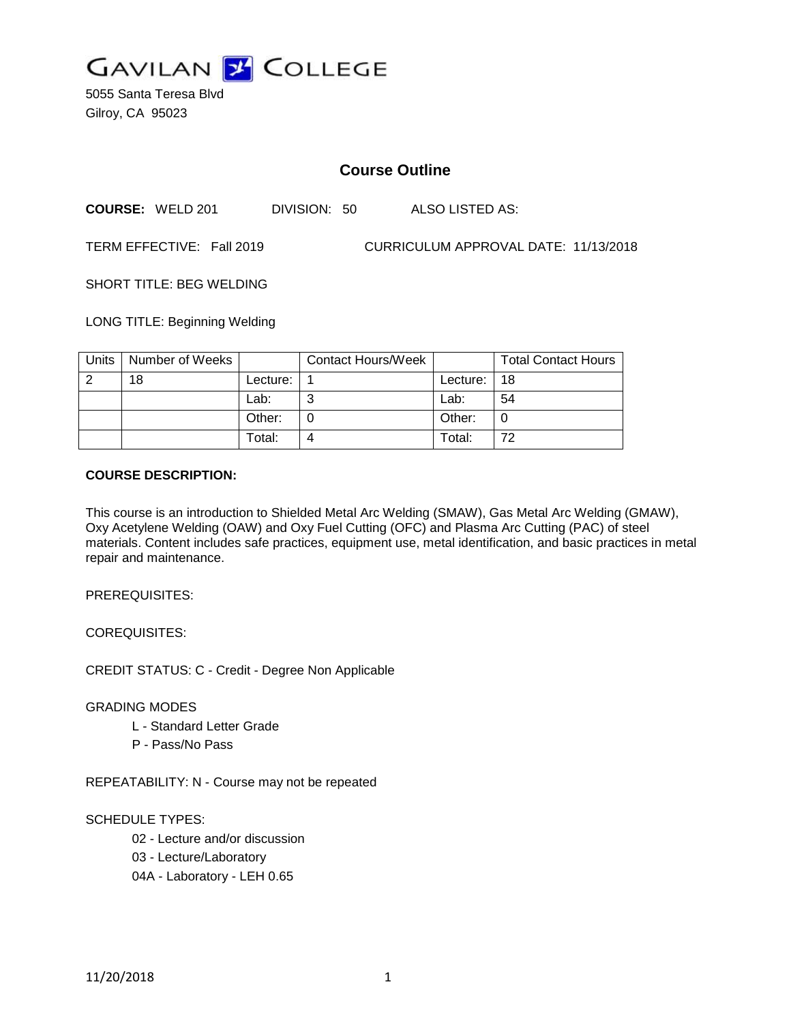

5055 Santa Teresa Blvd Gilroy, CA 95023

# **Course Outline**

**COURSE:** WELD 201 DIVISION: 50 ALSO LISTED AS:

TERM EFFECTIVE: Fall 2019 CURRICULUM APPROVAL DATE: 11/13/2018

SHORT TITLE: BEG WELDING

LONG TITLE: Beginning Welding

| Units | Number of Weeks |          | <b>Contact Hours/Week</b> |          | <b>Total Contact Hours</b> |
|-------|-----------------|----------|---------------------------|----------|----------------------------|
| റ     | 18              | Lecture: |                           | Lecture: | 18                         |
|       |                 | Lab:     |                           | Lab:     | 54                         |
|       |                 | Other:   |                           | Other:   |                            |
|       |                 | Total:   |                           | Total:   | 72                         |

### **COURSE DESCRIPTION:**

This course is an introduction to Shielded Metal Arc Welding (SMAW), Gas Metal Arc Welding (GMAW), Oxy Acetylene Welding (OAW) and Oxy Fuel Cutting (OFC) and Plasma Arc Cutting (PAC) of steel materials. Content includes safe practices, equipment use, metal identification, and basic practices in metal repair and maintenance.

PREREQUISITES:

COREQUISITES:

CREDIT STATUS: C - Credit - Degree Non Applicable

GRADING MODES

- L Standard Letter Grade
- P Pass/No Pass

REPEATABILITY: N - Course may not be repeated

### SCHEDULE TYPES:

02 - Lecture and/or discussion

03 - Lecture/Laboratory

04A - Laboratory - LEH 0.65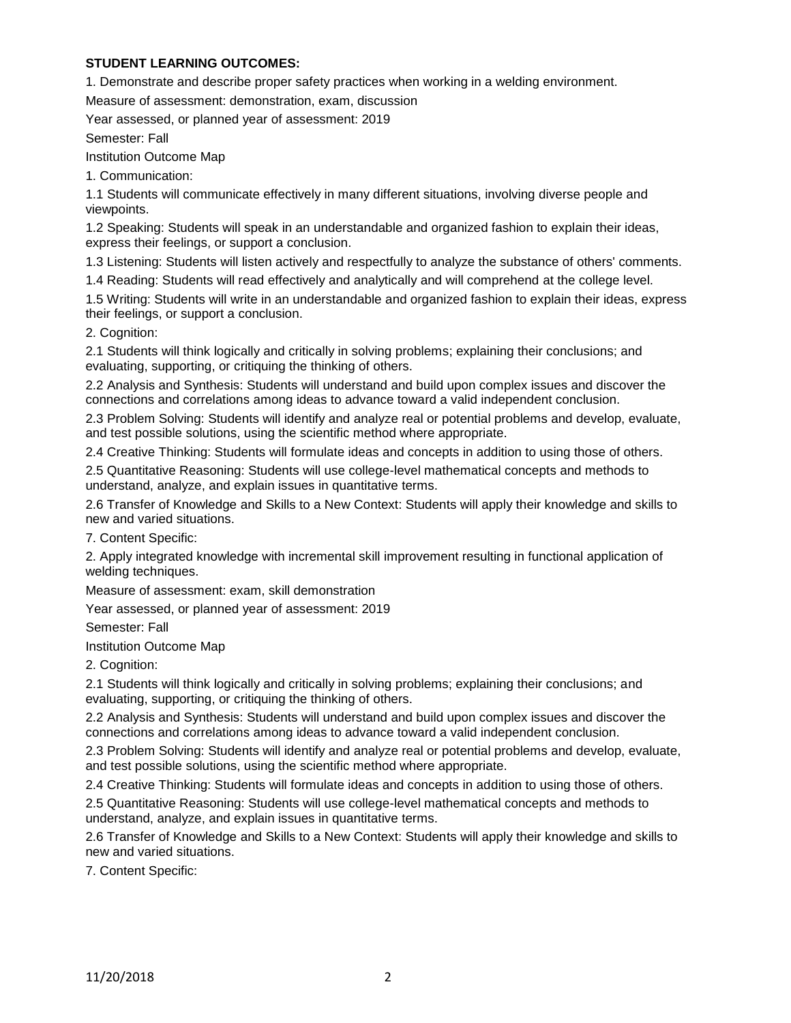# **STUDENT LEARNING OUTCOMES:**

1. Demonstrate and describe proper safety practices when working in a welding environment.

Measure of assessment: demonstration, exam, discussion

Year assessed, or planned year of assessment: 2019

Semester: Fall

Institution Outcome Map

1. Communication:

1.1 Students will communicate effectively in many different situations, involving diverse people and viewpoints.

1.2 Speaking: Students will speak in an understandable and organized fashion to explain their ideas, express their feelings, or support a conclusion.

1.3 Listening: Students will listen actively and respectfully to analyze the substance of others' comments.

1.4 Reading: Students will read effectively and analytically and will comprehend at the college level.

1.5 Writing: Students will write in an understandable and organized fashion to explain their ideas, express their feelings, or support a conclusion.

2. Cognition:

2.1 Students will think logically and critically in solving problems; explaining their conclusions; and evaluating, supporting, or critiquing the thinking of others.

2.2 Analysis and Synthesis: Students will understand and build upon complex issues and discover the connections and correlations among ideas to advance toward a valid independent conclusion.

2.3 Problem Solving: Students will identify and analyze real or potential problems and develop, evaluate, and test possible solutions, using the scientific method where appropriate.

2.4 Creative Thinking: Students will formulate ideas and concepts in addition to using those of others.

2.5 Quantitative Reasoning: Students will use college-level mathematical concepts and methods to understand, analyze, and explain issues in quantitative terms.

2.6 Transfer of Knowledge and Skills to a New Context: Students will apply their knowledge and skills to new and varied situations.

7. Content Specific:

2. Apply integrated knowledge with incremental skill improvement resulting in functional application of welding techniques.

Measure of assessment: exam, skill demonstration

Year assessed, or planned year of assessment: 2019

Semester: Fall

Institution Outcome Map

2. Cognition:

2.1 Students will think logically and critically in solving problems; explaining their conclusions; and evaluating, supporting, or critiquing the thinking of others.

2.2 Analysis and Synthesis: Students will understand and build upon complex issues and discover the connections and correlations among ideas to advance toward a valid independent conclusion.

2.3 Problem Solving: Students will identify and analyze real or potential problems and develop, evaluate, and test possible solutions, using the scientific method where appropriate.

2.4 Creative Thinking: Students will formulate ideas and concepts in addition to using those of others.

2.5 Quantitative Reasoning: Students will use college-level mathematical concepts and methods to understand, analyze, and explain issues in quantitative terms.

2.6 Transfer of Knowledge and Skills to a New Context: Students will apply their knowledge and skills to new and varied situations.

7. Content Specific: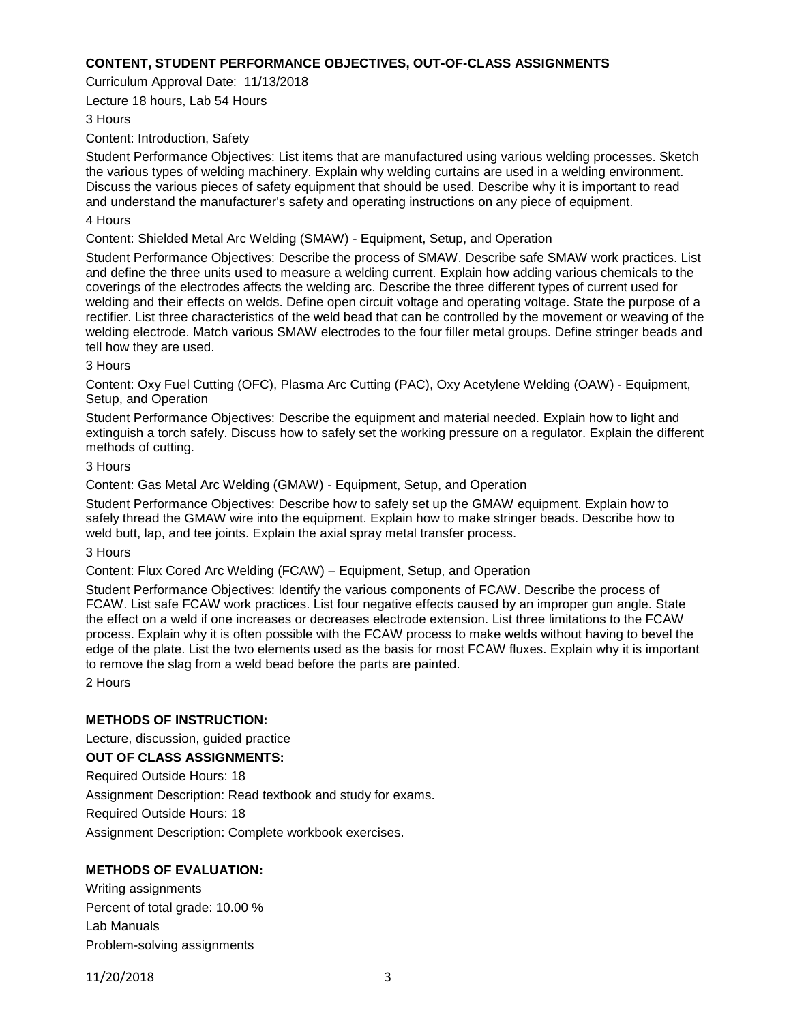### **CONTENT, STUDENT PERFORMANCE OBJECTIVES, OUT-OF-CLASS ASSIGNMENTS**

Curriculum Approval Date: 11/13/2018

Lecture 18 hours, Lab 54 Hours

### 3 Hours

Content: Introduction, Safety

Student Performance Objectives: List items that are manufactured using various welding processes. Sketch the various types of welding machinery. Explain why welding curtains are used in a welding environment. Discuss the various pieces of safety equipment that should be used. Describe why it is important to read and understand the manufacturer's safety and operating instructions on any piece of equipment.

#### 4 Hours

Content: Shielded Metal Arc Welding (SMAW) - Equipment, Setup, and Operation

Student Performance Objectives: Describe the process of SMAW. Describe safe SMAW work practices. List and define the three units used to measure a welding current. Explain how adding various chemicals to the coverings of the electrodes affects the welding arc. Describe the three different types of current used for welding and their effects on welds. Define open circuit voltage and operating voltage. State the purpose of a rectifier. List three characteristics of the weld bead that can be controlled by the movement or weaving of the welding electrode. Match various SMAW electrodes to the four filler metal groups. Define stringer beads and tell how they are used.

### 3 Hours

Content: Oxy Fuel Cutting (OFC), Plasma Arc Cutting (PAC), Oxy Acetylene Welding (OAW) - Equipment, Setup, and Operation

Student Performance Objectives: Describe the equipment and material needed. Explain how to light and extinguish a torch safely. Discuss how to safely set the working pressure on a regulator. Explain the different methods of cutting.

### 3 Hours

Content: Gas Metal Arc Welding (GMAW) - Equipment, Setup, and Operation

Student Performance Objectives: Describe how to safely set up the GMAW equipment. Explain how to safely thread the GMAW wire into the equipment. Explain how to make stringer beads. Describe how to weld butt, lap, and tee joints. Explain the axial spray metal transfer process.

#### 3 Hours

Content: Flux Cored Arc Welding (FCAW) – Equipment, Setup, and Operation

Student Performance Objectives: Identify the various components of FCAW. Describe the process of FCAW. List safe FCAW work practices. List four negative effects caused by an improper gun angle. State the effect on a weld if one increases or decreases electrode extension. List three limitations to the FCAW process. Explain why it is often possible with the FCAW process to make welds without having to bevel the edge of the plate. List the two elements used as the basis for most FCAW fluxes. Explain why it is important to remove the slag from a weld bead before the parts are painted.

2 Hours

# **METHODS OF INSTRUCTION:**

Lecture, discussion, guided practice

# **OUT OF CLASS ASSIGNMENTS:**

Required Outside Hours: 18

Assignment Description: Read textbook and study for exams.

Required Outside Hours: 18

Assignment Description: Complete workbook exercises.

# **METHODS OF EVALUATION:**

Writing assignments Percent of total grade: 10.00 % Lab Manuals Problem-solving assignments

11/20/2018 3